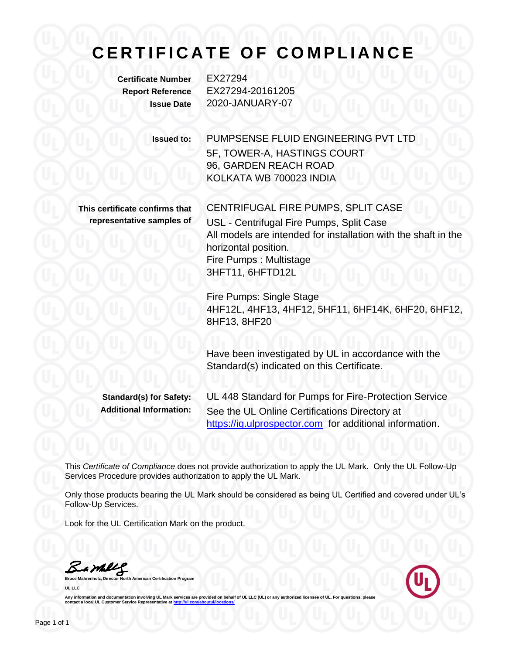## **C E R T I F I C A T E O F C O M P L I A N C E**

**Certificate Number** EX27294

**Report Reference** EX27294-20161205 **Issue Date** 2020-JANUARY-07

**Issued to:** PUMPSENSE FLUID ENGINEERING PVT LTD 5F, TOWER-A, HASTINGS COURT 96, GARDEN REACH ROAD KOLKATA WB 700023 INDIA

**This certificate confirms that representative samples of** CENTRIFUGAL FIRE PUMPS, SPLIT CASE USL - Centrifugal Fire Pumps, Split Case All models are intended for installation with the shaft in the horizontal position. Fire Pumps : Multistage 3HFT11, 6HFTD12L

Fire Pumps: Single Stage 4HF12L, 4HF13, 4HF12, 5HF11, 6HF14K, 6HF20, 6HF12, 8HF13, 8HF20

Have been investigated by UL in accordance with the Standard(s) indicated on this Certificate.

**Standard(s) for Safety:** UL 448 Standard for Pumps for Fire-Protection Service **Additional Information:** See the UL Online Certifications Directory at https://iq.ulprospector.com for additional information.

This *Certificate of Compliance* does not provide authorization to apply the UL Mark. Only the UL Follow-Up Services Procedure provides authorization to apply the UL Mark.

Only those products bearing the UL Mark should be considered as being UL Certified and covered under UL's Follow-Up Services.

Look for the UL Certification Mark on the product.

Barbly

**Bruce Mahrenholz, Director North American Certification Program UL LLC**



Any information and documentation involving UL Mark services are provided on behalf of UL LLC (UL) or any authorized licensee of UL. For questions, please<br>contact a local UL Customer Service Representative at <u>http://ul.co</u>